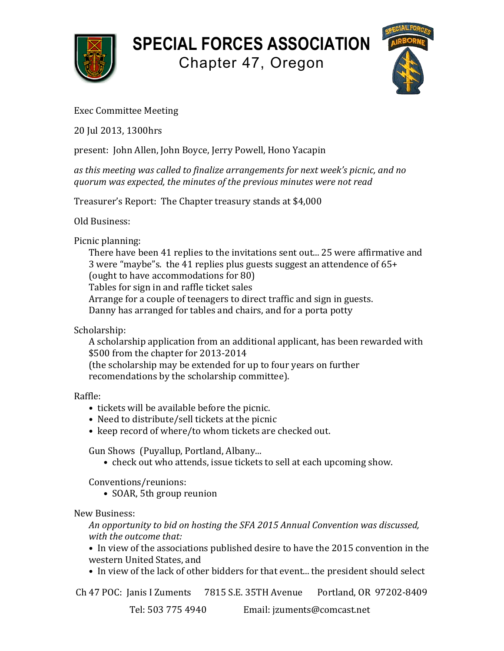

## **SPECIAL FORCES ASSOCIATION**

Chapter 47, Oregon



## Exec Committee Meeting

20 Jul 2013, 1300hrs

present: John Allen, John Boyce, Jerry Powell, Hono Yacapin

as this meeting was called to finalize arrangements for next week's picnic, and no *quorum was expected, the minutes of the previous minutes were not read*

Treasurer's Report: The Chapter treasury stands at \$4,000

Old Business:

Picnic planning:

There have been 41 replies to the invitations sent out... 25 were affirmative and 3 were "maybe"s. the 41 replies plus guests suggest an attendence of  $65+$ (ought to have accommodations for 80) Tables for sign in and raffle ticket sales Arrange for a couple of teenagers to direct traffic and sign in guests. Danny has arranged for tables and chairs, and for a porta potty

Scholarship:

A scholarship application from an additional applicant, has been rewarded with \$500 from the chapter for 2013-2014 (the scholarship may be extended for up to four years on further

recomendations by the scholarship committee).

Raffle:

- tickets will be available before the picnic.
- Need to distribute/sell tickets at the picnic
- keep record of where/to whom tickets are checked out.

Gun Shows (Puyallup, Portland, Albany...

• check out who attends, issue tickets to sell at each upcoming show.

Conventions/reunions:

• SOAR, 5th group reunion

New Business:

An opportunity to bid on hosting the SFA 2015 Annual Convention was discussed, *with the outcome that:* 

• In view of the associations published desire to have the 2015 convention in the western United States, and

• In view of the lack of other bidders for that event... the president should select

Ch 47 POC: Janis I Zuments 7815 S.E. 35TH Avenue Portland, OR 97202-8409

Tel: 503 775 4940 Email: jzuments@comcast.net